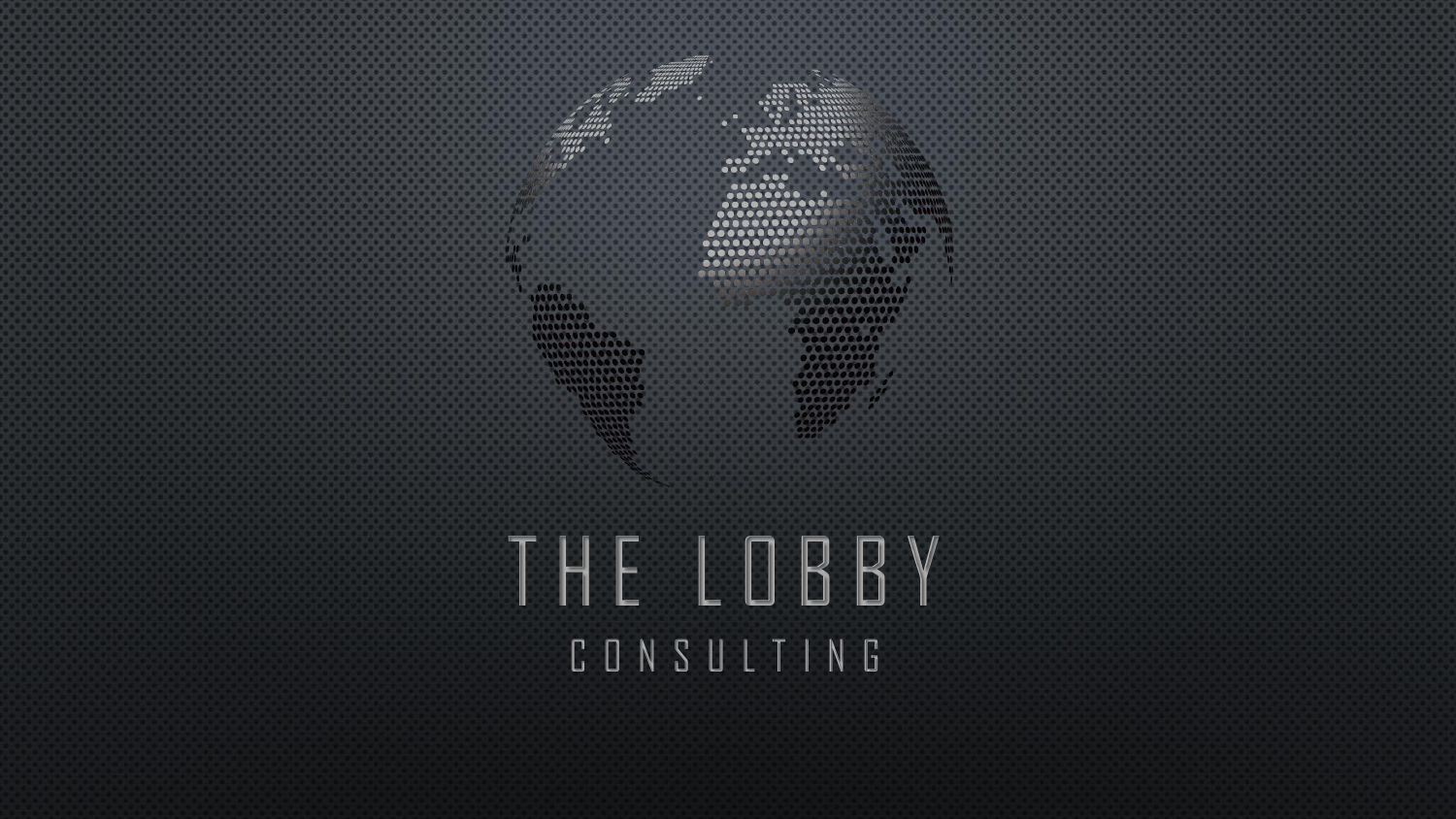$0000$  $0000000$  $1988888888$  $\begin{array}{c} \bullet\bullet\bullet \end{array}$  $\bullet \bullet \bullet$  $00$  $1 - 10$ T H E L O B B Y C O N S U L T I N G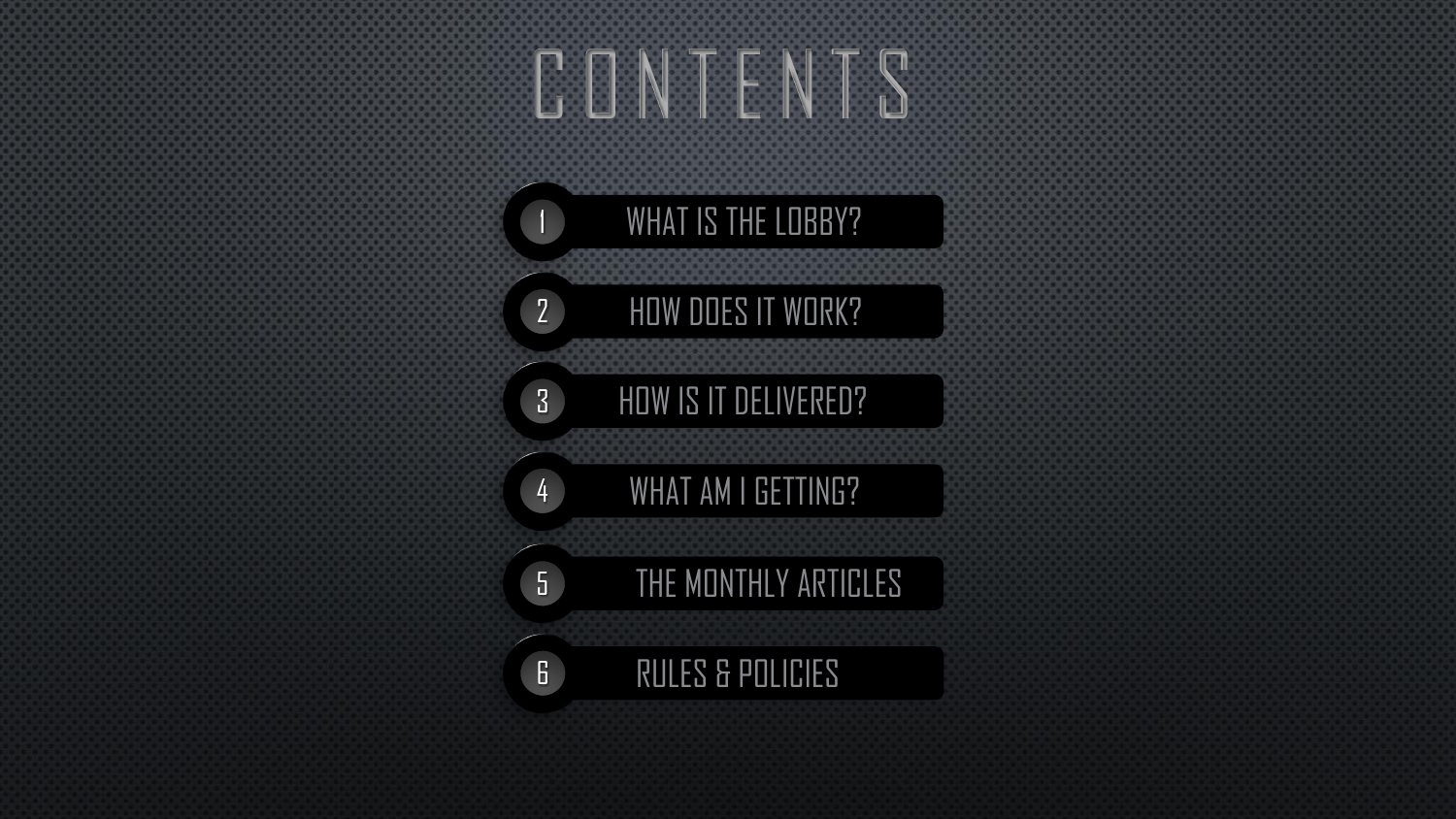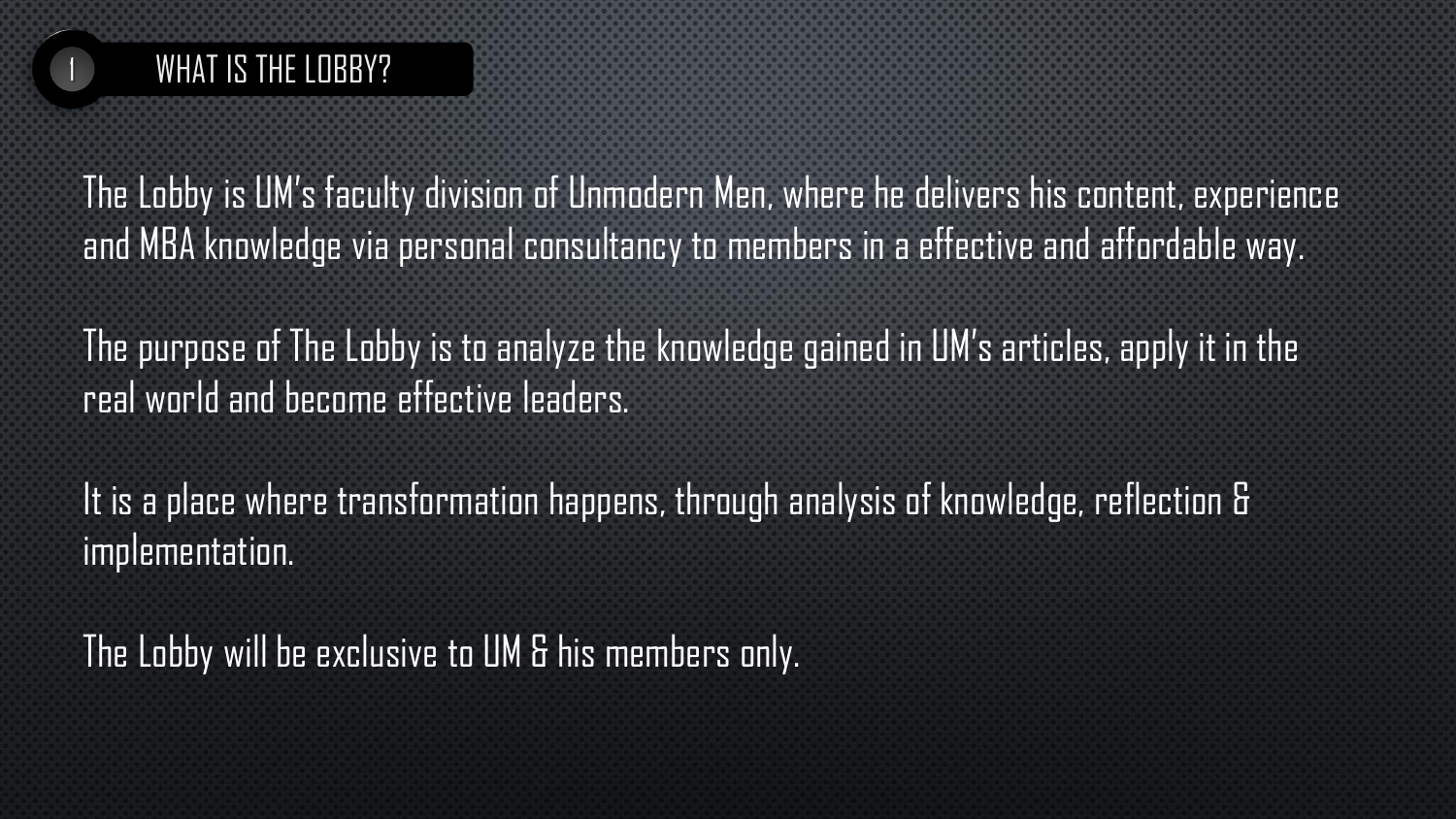

The Lobby is UM's faculty division of Unmodern Men, where he delivers his content, experience and MBA knowledge via personal consultancy to members in a effective and affordable way.

The purpose of The Lobby is to analyze the knowledge gained in UM's articles, apply it in the real world and become effective leaders.

It is a place where transformation happens, through analysis of knowledge, reflection & implementation.

The Lobby will be exclusive to UM & his members only.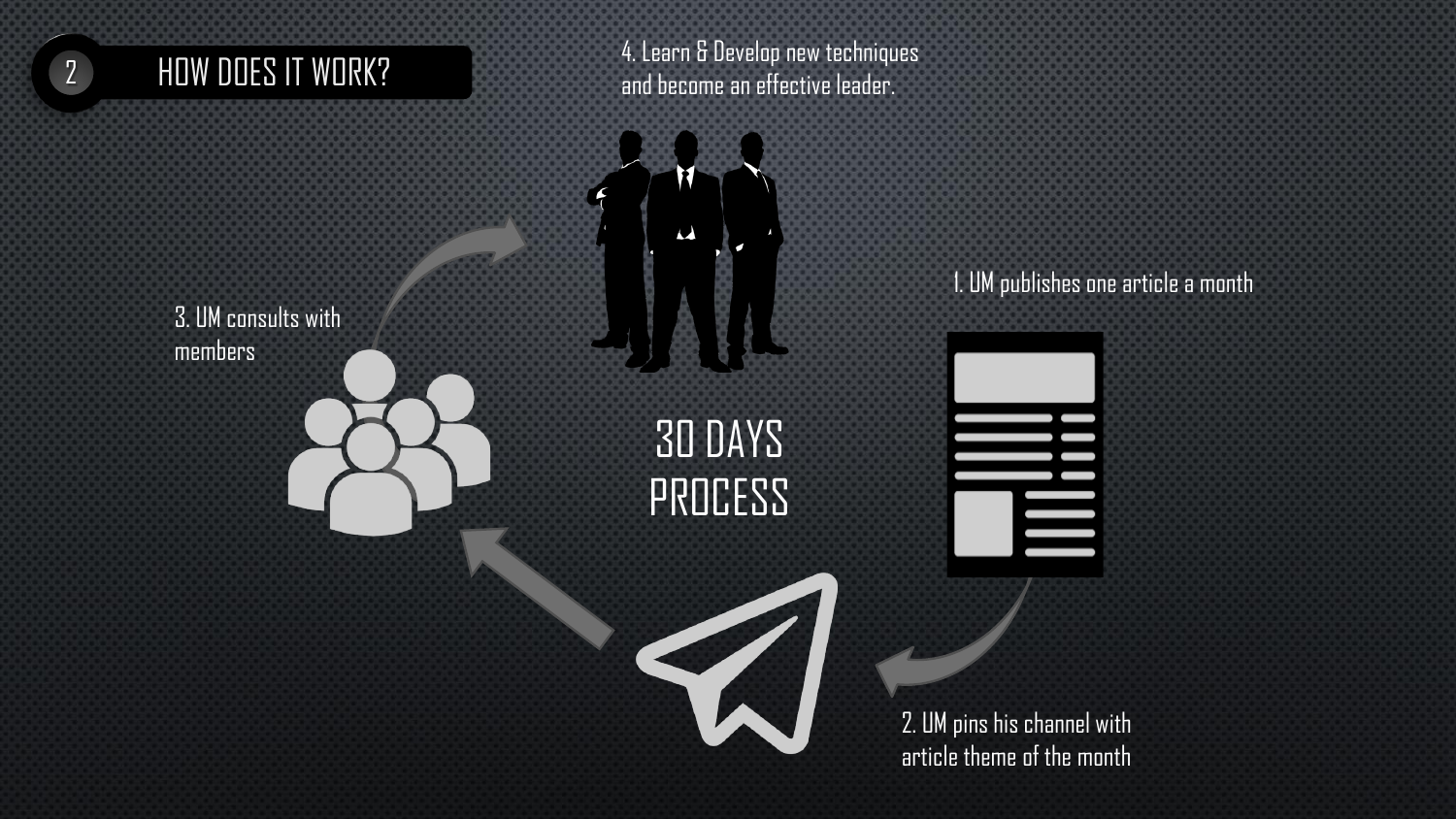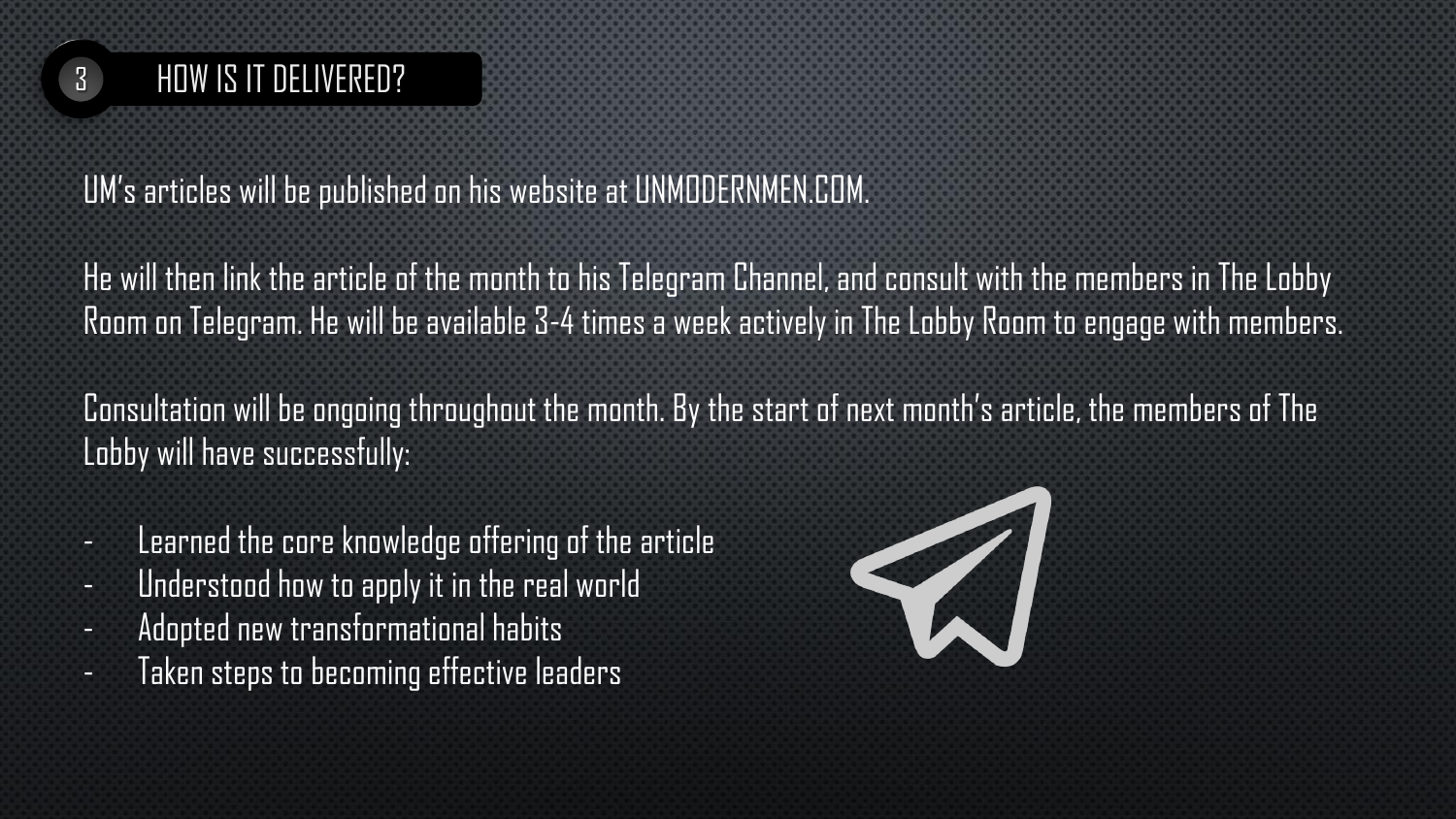

UM's articles will be published on his website at UNMODERNMEN.COM.

He will then link the article of the month to his Telegram Channel, and consult with the members in The Lobby Room on Telegram. He will be available 3-4 times a week actively in The Lobby Room to engage with members.

Consultation will be ongoing throughout the month. By the start of next month's article, the members of The Lobby will have successfully:

- Learned the core knowledge offering of the article
- Understood how to apply it in the real world
- Adopted new transformational habits
- Taken steps to becoming effective leaders

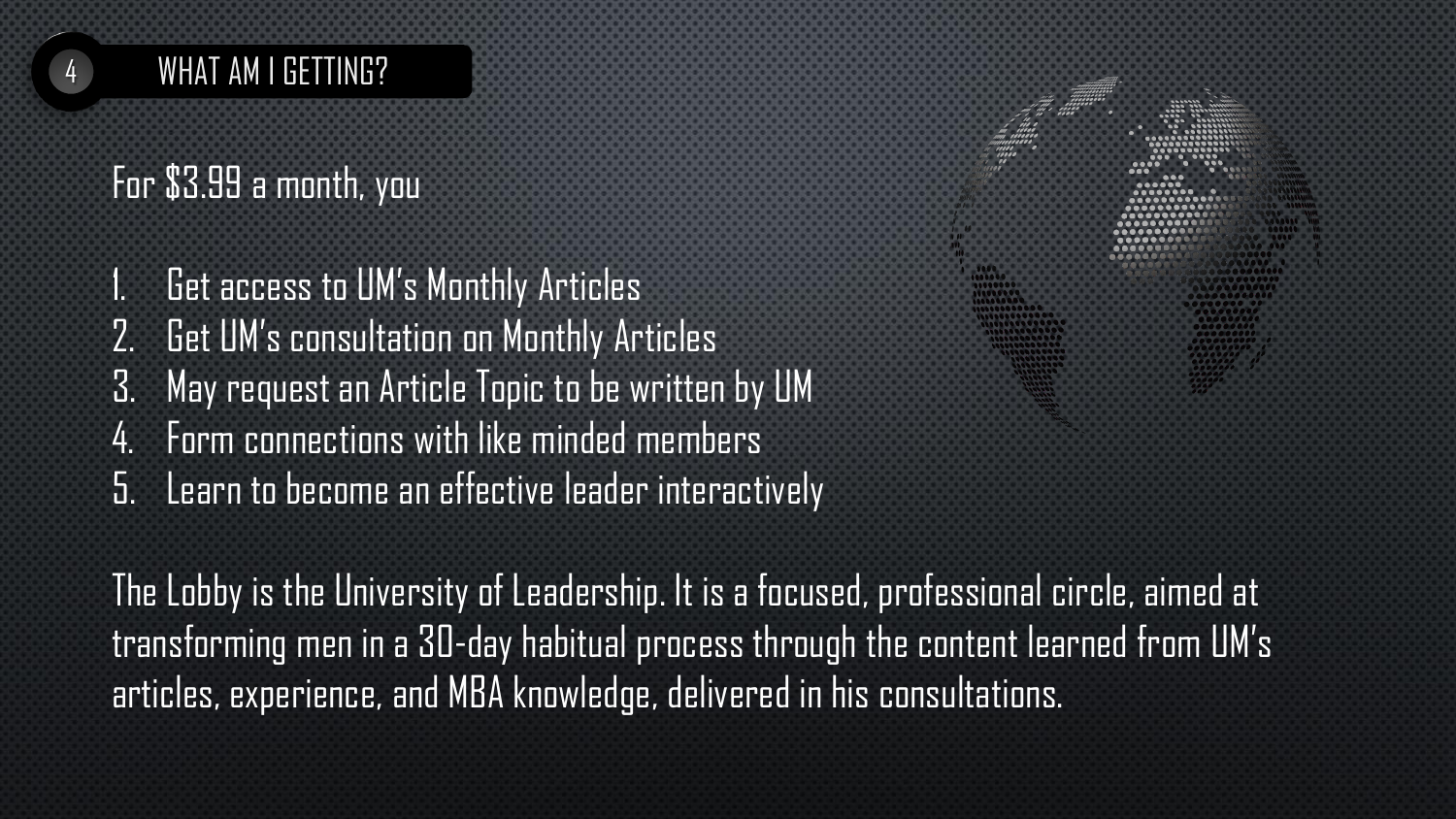## WHAT AM I GETTING?

## For \$3.99 a month, you

1. Get access to UM's Monthly Articles 2. Get UM's consultation on Monthly Articles 3. May request an Article Topic to be written by UM 4. Form connections with like minded members 5. Learn to become an effective leader interactively

The Lobby is the University of Leadership. It is a focused, professional circle, aimed at transforming men in a 30-day habitual process through the content learned from UM's articles, experience, and MBA knowledge, delivered in his consultations.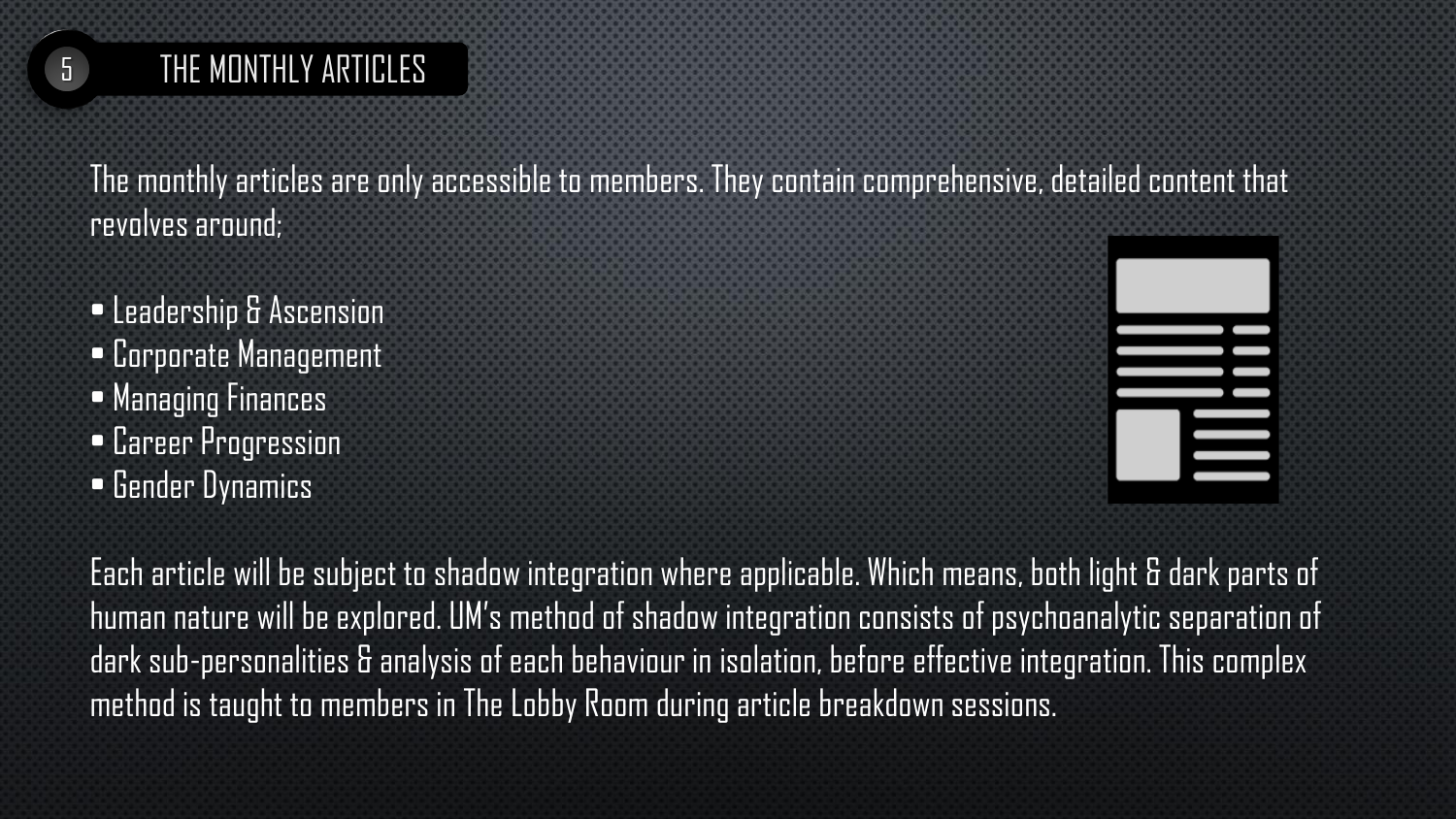

## 5 THE MONTHLY ARTICLES

The monthly articles are only accessible to members. They contain comprehensive, detailed content that revolves around;

• Leadership & Ascension • Corporate Management • Managing Finances • Career Progression **• Gender Dynamics** 



Each article will be subject to shadow integration where applicable. Which means, both light & dark parts of human nature will be explored. UM's method of shadow integration consists of psychoanalytic separation of dark sub-personalities & analysis of each behaviour in isolation, before effective integration. This complex method is taught to members in The Lobby Room during article breakdown sessions.